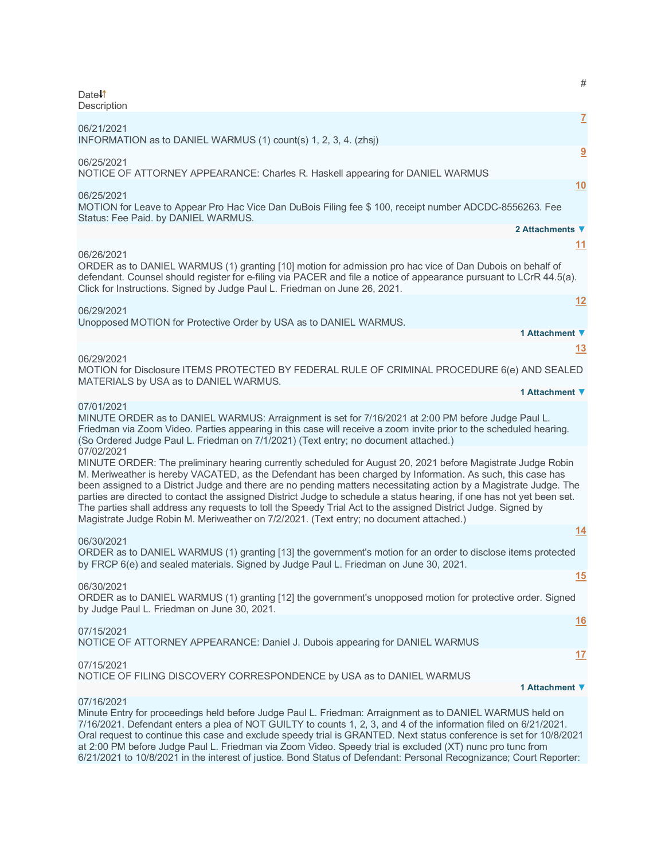| $\#$<br>Date <sup>1</sup>                                                                                                                                                                                                                                                                                                                                                                                                                                                                                                                                                                                                                                                                          |
|----------------------------------------------------------------------------------------------------------------------------------------------------------------------------------------------------------------------------------------------------------------------------------------------------------------------------------------------------------------------------------------------------------------------------------------------------------------------------------------------------------------------------------------------------------------------------------------------------------------------------------------------------------------------------------------------------|
| Description                                                                                                                                                                                                                                                                                                                                                                                                                                                                                                                                                                                                                                                                                        |
| $\mathbf{Z}$<br>06/21/2021<br>INFORMATION as to DANIEL WARMUS (1) count(s) 1, 2, 3, 4. (zhsj)                                                                                                                                                                                                                                                                                                                                                                                                                                                                                                                                                                                                      |
| 9<br>06/25/2021<br>NOTICE OF ATTORNEY APPEARANCE: Charles R. Haskell appearing for DANIEL WARMUS                                                                                                                                                                                                                                                                                                                                                                                                                                                                                                                                                                                                   |
| 10                                                                                                                                                                                                                                                                                                                                                                                                                                                                                                                                                                                                                                                                                                 |
| 06/25/2021<br>MOTION for Leave to Appear Pro Hac Vice Dan DuBois Filing fee \$ 100, receipt number ADCDC-8556263. Fee<br>Status: Fee Paid. by DANIEL WARMUS.                                                                                                                                                                                                                                                                                                                                                                                                                                                                                                                                       |
| 2 Attachments ▼                                                                                                                                                                                                                                                                                                                                                                                                                                                                                                                                                                                                                                                                                    |
| 11<br>06/26/2021                                                                                                                                                                                                                                                                                                                                                                                                                                                                                                                                                                                                                                                                                   |
| ORDER as to DANIEL WARMUS (1) granting [10] motion for admission pro hac vice of Dan Dubois on behalf of<br>defendant. Counsel should register for e-filing via PACER and file a notice of appearance pursuant to LCrR 44.5(a).<br>Click for Instructions. Signed by Judge Paul L. Friedman on June 26, 2021.<br>12                                                                                                                                                                                                                                                                                                                                                                                |
| 06/29/2021                                                                                                                                                                                                                                                                                                                                                                                                                                                                                                                                                                                                                                                                                         |
| Unopposed MOTION for Protective Order by USA as to DANIEL WARMUS.<br>1 Attachment ▼                                                                                                                                                                                                                                                                                                                                                                                                                                                                                                                                                                                                                |
| <u>13</u>                                                                                                                                                                                                                                                                                                                                                                                                                                                                                                                                                                                                                                                                                          |
| 06/29/2021<br>MOTION for Disclosure ITEMS PROTECTED BY FEDERAL RULE OF CRIMINAL PROCEDURE 6(e) AND SEALED                                                                                                                                                                                                                                                                                                                                                                                                                                                                                                                                                                                          |
| MATERIALS by USA as to DANIEL WARMUS.                                                                                                                                                                                                                                                                                                                                                                                                                                                                                                                                                                                                                                                              |
| 1 Attachment ▼                                                                                                                                                                                                                                                                                                                                                                                                                                                                                                                                                                                                                                                                                     |
| 07/01/2021<br>MINUTE ORDER as to DANIEL WARMUS: Arraignment is set for 7/16/2021 at 2:00 PM before Judge Paul L.<br>Friedman via Zoom Video. Parties appearing in this case will receive a zoom invite prior to the scheduled hearing.<br>(So Ordered Judge Paul L. Friedman on 7/1/2021) (Text entry; no document attached.)                                                                                                                                                                                                                                                                                                                                                                      |
| 07/02/2021<br>MINUTE ORDER: The preliminary hearing currently scheduled for August 20, 2021 before Magistrate Judge Robin<br>M. Meriweather is hereby VACATED, as the Defendant has been charged by Information. As such, this case has<br>been assigned to a District Judge and there are no pending matters necessitating action by a Magistrate Judge. The<br>parties are directed to contact the assigned District Judge to schedule a status hearing, if one has not yet been set.<br>The parties shall address any requests to toll the Speedy Trial Act to the assigned District Judge. Signed by<br>Magistrate Judge Robin M. Meriweather on 7/2/2021. (Text entry; no document attached.) |
| <u>14</u>                                                                                                                                                                                                                                                                                                                                                                                                                                                                                                                                                                                                                                                                                          |
| 06/30/2021<br>ORDER as to DANIEL WARMUS (1) granting [13] the government's motion for an order to disclose items protected<br>by FRCP 6(e) and sealed materials. Signed by Judge Paul L. Friedman on June 30, 2021.                                                                                                                                                                                                                                                                                                                                                                                                                                                                                |
| 15<br>06/30/2021                                                                                                                                                                                                                                                                                                                                                                                                                                                                                                                                                                                                                                                                                   |
| ORDER as to DANIEL WARMUS (1) granting [12] the government's unopposed motion for protective order. Signed<br>by Judge Paul L. Friedman on June 30, 2021.                                                                                                                                                                                                                                                                                                                                                                                                                                                                                                                                          |
| 16<br>07/15/2021<br>NOTICE OF ATTORNEY APPEARANCE: Daniel J. Dubois appearing for DANIEL WARMUS                                                                                                                                                                                                                                                                                                                                                                                                                                                                                                                                                                                                    |
| 17                                                                                                                                                                                                                                                                                                                                                                                                                                                                                                                                                                                                                                                                                                 |
| 07/15/2021<br>NOTICE OF FILING DISCOVERY CORRESPONDENCE by USA as to DANIEL WARMUS<br>1 Attachment ▼                                                                                                                                                                                                                                                                                                                                                                                                                                                                                                                                                                                               |
| 07/16/2021                                                                                                                                                                                                                                                                                                                                                                                                                                                                                                                                                                                                                                                                                         |
| Minute Entry for proceedings held before Judge Paul L. Friedman: Arraignment as to DANIEL WARMUS held on<br>7/16/2021. Defendant enters a plea of NOT GUILTY to counts 1, 2, 3, and 4 of the information filed on 6/21/2021.<br>Oral request to continue this case and exclude speedy trial is GRANTED. Next status conference is set for 10/8/2021                                                                                                                                                                                                                                                                                                                                                |

Oral request to continue this case and exclude speedy trial is GRANTED. Next status conference is set for 10/8/2021 at 2:00 PM before Judge Paul L. Friedman via Zoom Video. Speedy trial is excluded (XT) nunc pro tunc from 6/21/2021 to 10/8/2021 in the interest of justice. Bond Status of Defendant: Personal Recognizance; Court Reporter: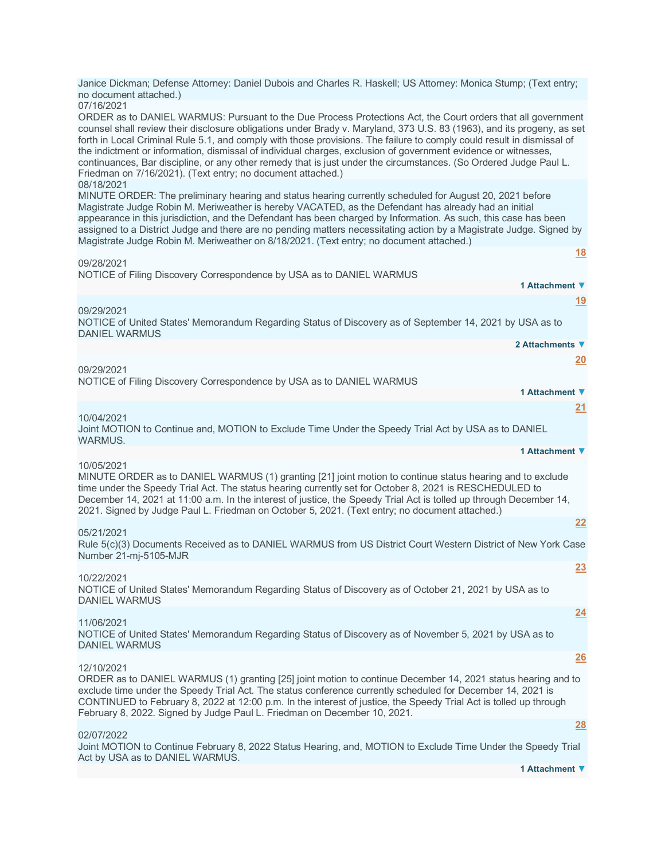| Janice Dickman; Defense Attorney: Daniel Dubois and Charles R. Haskell; US Attorney: Monica Stump; (Text entry;<br>no document attached.)                                                                                                                                                                                                                                                                                                                                                                                                                                                                                                                                                          |                 |
|----------------------------------------------------------------------------------------------------------------------------------------------------------------------------------------------------------------------------------------------------------------------------------------------------------------------------------------------------------------------------------------------------------------------------------------------------------------------------------------------------------------------------------------------------------------------------------------------------------------------------------------------------------------------------------------------------|-----------------|
| 07/16/2021<br>ORDER as to DANIEL WARMUS: Pursuant to the Due Process Protections Act, the Court orders that all government<br>counsel shall review their disclosure obligations under Brady v. Maryland, 373 U.S. 83 (1963), and its progeny, as set<br>forth in Local Criminal Rule 5.1, and comply with those provisions. The failure to comply could result in dismissal of<br>the indictment or information, dismissal of individual charges, exclusion of government evidence or witnesses,<br>continuances, Bar discipline, or any other remedy that is just under the circumstances. (So Ordered Judge Paul L.<br>Friedman on 7/16/2021). (Text entry; no document attached.)<br>08/18/2021 |                 |
| MINUTE ORDER: The preliminary hearing and status hearing currently scheduled for August 20, 2021 before<br>Magistrate Judge Robin M. Meriweather is hereby VACATED, as the Defendant has already had an initial<br>appearance in this jurisdiction, and the Defendant has been charged by Information. As such, this case has been<br>assigned to a District Judge and there are no pending matters necessitating action by a Magistrate Judge. Signed by<br>Magistrate Judge Robin M. Meriweather on 8/18/2021. (Text entry; no document attached.)                                                                                                                                               |                 |
| 09/28/2021                                                                                                                                                                                                                                                                                                                                                                                                                                                                                                                                                                                                                                                                                         | <u>18</u>       |
| NOTICE of Filing Discovery Correspondence by USA as to DANIEL WARMUS                                                                                                                                                                                                                                                                                                                                                                                                                                                                                                                                                                                                                               | 1 Attachment ▼  |
|                                                                                                                                                                                                                                                                                                                                                                                                                                                                                                                                                                                                                                                                                                    | 19              |
| 09/29/2021<br>NOTICE of United States' Memorandum Regarding Status of Discovery as of September 14, 2021 by USA as to<br><b>DANIEL WARMUS</b>                                                                                                                                                                                                                                                                                                                                                                                                                                                                                                                                                      |                 |
|                                                                                                                                                                                                                                                                                                                                                                                                                                                                                                                                                                                                                                                                                                    | 2 Attachments ▼ |
| 09/29/2021                                                                                                                                                                                                                                                                                                                                                                                                                                                                                                                                                                                                                                                                                         | 20              |
| NOTICE of Filing Discovery Correspondence by USA as to DANIEL WARMUS                                                                                                                                                                                                                                                                                                                                                                                                                                                                                                                                                                                                                               |                 |
|                                                                                                                                                                                                                                                                                                                                                                                                                                                                                                                                                                                                                                                                                                    | 1 Attachment ▼  |
| 10/04/2021<br>Joint MOTION to Continue and, MOTION to Exclude Time Under the Speedy Trial Act by USA as to DANIEL<br>WARMUS.                                                                                                                                                                                                                                                                                                                                                                                                                                                                                                                                                                       | 21              |
|                                                                                                                                                                                                                                                                                                                                                                                                                                                                                                                                                                                                                                                                                                    | 1 Attachment ▼  |
| 10/05/2021<br>MINUTE ORDER as to DANIEL WARMUS (1) granting [21] joint motion to continue status hearing and to exclude<br>time under the Speedy Trial Act. The status hearing currently set for October 8, 2021 is RESCHEDULED to<br>December 14, 2021 at 11:00 a.m. In the interest of justice, the Speedy Trial Act is tolled up through December 14,<br>2021. Signed by Judge Paul L. Friedman on October 5, 2021. (Text entry; no document attached.)                                                                                                                                                                                                                                         |                 |
| 05/21/2021                                                                                                                                                                                                                                                                                                                                                                                                                                                                                                                                                                                                                                                                                         | 22              |
| Rule 5(c)(3) Documents Received as to DANIEL WARMUS from US District Court Western District of New York Case<br>Number 21-mi-5105-MJR                                                                                                                                                                                                                                                                                                                                                                                                                                                                                                                                                              |                 |
| 10/22/2021<br>NOTICE of United States' Memorandum Regarding Status of Discovery as of October 21, 2021 by USA as to<br><b>DANIEL WARMUS</b>                                                                                                                                                                                                                                                                                                                                                                                                                                                                                                                                                        | 23              |
| 11/06/2021                                                                                                                                                                                                                                                                                                                                                                                                                                                                                                                                                                                                                                                                                         | 24              |
| NOTICE of United States' Memorandum Regarding Status of Discovery as of November 5, 2021 by USA as to<br><b>DANIEL WARMUS</b>                                                                                                                                                                                                                                                                                                                                                                                                                                                                                                                                                                      |                 |
| 12/10/2021                                                                                                                                                                                                                                                                                                                                                                                                                                                                                                                                                                                                                                                                                         | 26              |
| ORDER as to DANIEL WARMUS (1) granting [25] joint motion to continue December 14, 2021 status hearing and to<br>exclude time under the Speedy Trial Act. The status conference currently scheduled for December 14, 2021 is<br>CONTINUED to February 8, 2022 at 12:00 p.m. In the interest of justice, the Speedy Trial Act is tolled up through<br>February 8, 2022. Signed by Judge Paul L. Friedman on December 10, 2021.                                                                                                                                                                                                                                                                       |                 |
| 02/07/2022                                                                                                                                                                                                                                                                                                                                                                                                                                                                                                                                                                                                                                                                                         | 28              |
| Joint MOTION to Continue February 8, 2022 Status Hearing, and, MOTION to Exclude Time Under the Speedy Trial                                                                                                                                                                                                                                                                                                                                                                                                                                                                                                                                                                                       |                 |
| Act by USA as to DANIEL WARMUS.                                                                                                                                                                                                                                                                                                                                                                                                                                                                                                                                                                                                                                                                    | 1 Attachment ▼  |